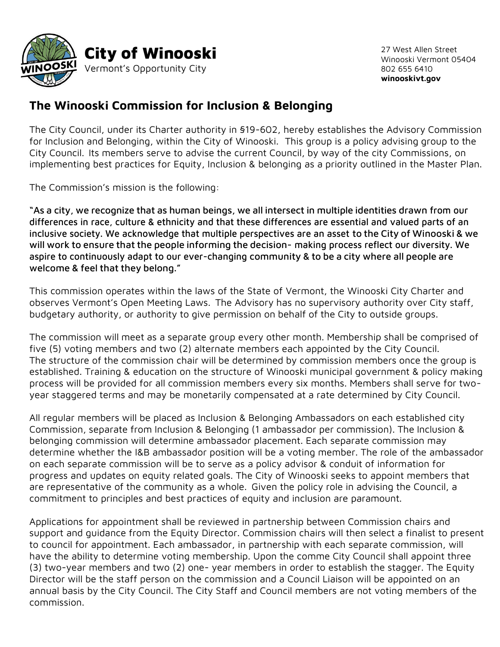

27 West Allen Street Winooski Vermont 05404 802 655 6410 **winooskivt.gov**

## **The Winooski Commission for Inclusion & Belonging**

The City Council, under its Charter authority in §19-602, hereby establishes the Advisory Commission for Inclusion and Belonging, within the City of Winooski. This group is a policy advising group to the City Council. Its members serve to advise the current Council, by way of the city Commissions, on implementing best practices for Equity, Inclusion & belonging as a priority outlined in the Master Plan.

The Commission's mission is the following:

"As a city, we recognize that as human beings, we all intersect in multiple identities drawn from our differences in race, culture & ethnicity and that these differences are essential and valued parts of an inclusive society. We acknowledge that multiple perspectives are an asset to the City of Winooski & we will work to ensure that the people informing the decision- making process reflect our diversity. We aspire to continuously adapt to our ever-changing community & to be a city where all people are welcome & feel that they belong."

This commission operates within the laws of the State of Vermont, the Winooski City Charter and observes Vermont's Open Meeting Laws. The Advisory has no supervisory authority over City staff, budgetary authority, or authority to give permission on behalf of the City to outside groups.

The commission will meet as a separate group every other month. Membership shall be comprised of five (5) voting members and two (2) alternate members each appointed by the City Council. The structure of the commission chair will be determined by commission members once the group is established. Training & education on the structure of Winooski municipal government & policy making process will be provided for all commission members every six months. Members shall serve for twoyear staggered terms and may be monetarily compensated at a rate determined by City Council.

All regular members will be placed as Inclusion & Belonging Ambassadors on each established city Commission, separate from Inclusion & Belonging (1 ambassador per commission). The Inclusion & belonging commission will determine ambassador placement. Each separate commission may determine whether the I&B ambassador position will be a voting member. The role of the ambassador on each separate commission will be to serve as a policy advisor & conduit of information for progress and updates on equity related goals. The City of Winooski seeks to appoint members that are representative of the community as a whole. Given the policy role in advising the Council, a commitment to principles and best practices of equity and inclusion are paramount.

Applications for appointment shall be reviewed in partnership between Commission chairs and support and guidance from the Equity Director. Commission chairs will then select a finalist to present to council for appointment. Each ambassador, in partnership with each separate commission, will have the ability to determine voting membership. Upon the comme City Council shall appoint three (3) two-year members and two (2) one- year members in order to establish the stagger. The Equity Director will be the staff person on the commission and a Council Liaison will be appointed on an annual basis by the City Council. The City Staff and Council members are not voting members of the commission.